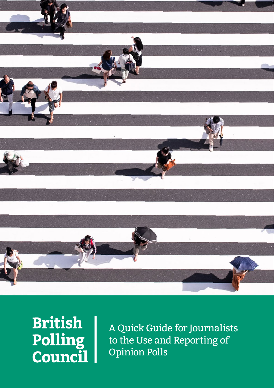

**British Polling<br>Council** 

A Quick Guide for Journalists to the Use and Reporting of Opinion Polls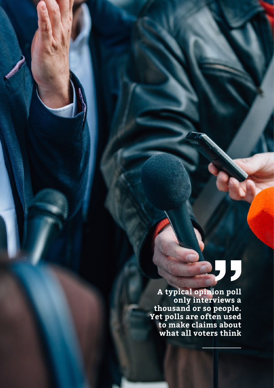# $\overline{\mathbf{5}}$ 5

**A typical opinion poll only interviews a thousand or so people. Yet polls are often used to make claims about what all voters think**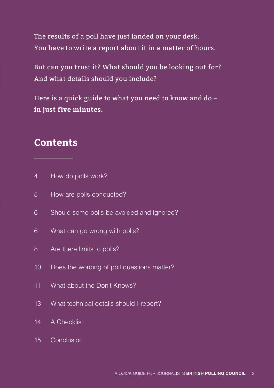The results of a poll have just landed on your desk. You have to write a report about it in a matter of hours.

But can you trust it? What should you be looking out for? And what details should you include?

Here is a quick guide to what you need to know and do **in just five minutes.**

## **Contents**

- 4 How do polls work?
- 5 How are polls conducted?
- 6 Should some polls be avoided and ignored?
- 6 What can go wrong with polls?
- 8 Are there limits to polls?
- 10 Does the wording of poll questions matter?
- 11 What about the Don't Knows?
- 13 What technical details should I report?
- 14 A Checklist
- 15 Conclusion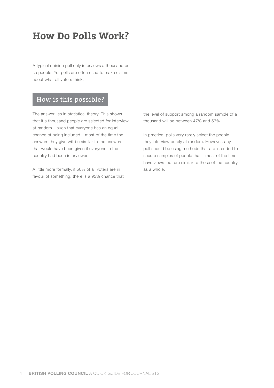## **How Do Polls Work?**

A typical opinion poll only interviews a thousand or so people. Yet polls are often used to make claims about what all voters think.

#### How is this possible?

The answer lies in statistical theory. This shows that if a thousand people are selected for interview at random – such that everyone has an equal chance of being included – most of the time the answers they give will be similar to the answers that would have been given if everyone in the country had been interviewed.

A little more formally, if 50% of all voters are in favour of something, there is a 95% chance that the level of support among a random sample of a thousand will be between 47% and 53%.

In practice, polls very rarely select the people they interview purely at random. However, any poll should be using methods that are intended to secure samples of people that – most of the time have views that are similar to those of the country as a whole.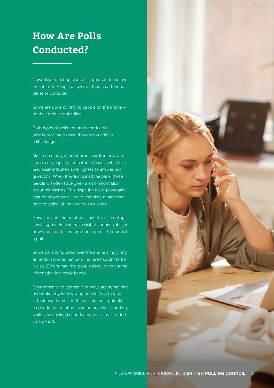## **How Are Polls Conducted?**

Nowadays, most opinion polls are undertaken over the internet. People answer on their smartphone, tablet or computer.

Some are done by ringing people on the phone – on their mobile or landline.

Both types of polls are often conducted over two or three days, though sometimes a little longer.

Most commonly, internet polls usually interview a sample of people (often called a 'panel') who have previously indicated a willingness to answer poll questions. When they first joined the panel these people will often have given a lot of information about themselves. This helps the polling company ensure the people asked to complete a particular poll are typical of the country as a whole.

However, some internet polls use 'river sampling' – inviting people who have visited certain websites or who use certain smartphone apps – to complete a poll.

Some polls conducted over the phone simply ring at random phone numbers that are thought to be in use. Others may ring people about whom some information is already known.

Government and academic surveys are sometimes undertaken by interviewing people face to face in their own homes. In these instances, potential respondents are often selected entirely at random, while interviewing is conducted over an extended time period.

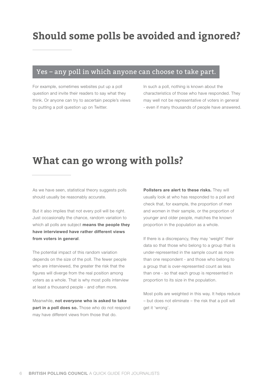#### Yes – any poll in which anyone can choose to take part.

For example, sometimes websites put up a poll question and invite their readers to say what they think. Or anyone can try to ascertain people's views by putting a poll question up on Twitter.

In such a poll, nothing is known about the characteristics of those who have responded. They may well not be representative of voters in general - even if many thousands of people have answered.

## **What can go wrong with polls?**

As we have seen, statistical theory suggests polls should usually be reasonably accurate.

But it also implies that not every poll will be right. Just occasionally the chance, random variation to which all polls are subject **means the people they have interviewed have rather different views from voters in general**.

The potential impact of this random variation depends on the size of the poll. The fewer people who are interviewed, the greater the risk that the figures will diverge from the real position among voters as a whole. That is why most polls interview at least a thousand people - and often more.

Meanwhile, **not everyone who is asked to take part in a poll does so.** Those who do not respond may have different views from those that do.

**Pollsters are alert to these risks.** They will usually look at who has responded to a poll and check that, for example, the proportion of men and women in their sample, or the proportion of younger and older people, matches the known proportion in the population as a whole.

If there is a discrepancy, they may 'weight' their data so that those who belong to a group that is under-represented in the sample count as more than one respondent - and those who belong to a group that is over-represented count as less than one - so that each group is represented in proportion to its size in the population.

Most polls are weighted in this way. It helps reduce – but does not eliminate – the risk that a poll will get it 'wrong'.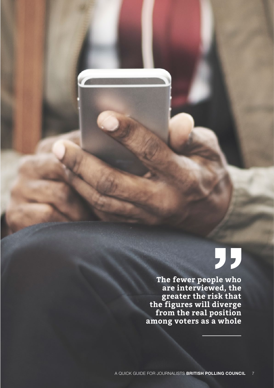# "

**The fewer people who are interviewed, the greater the risk that the figures will diverge from the real position among voters as a whole**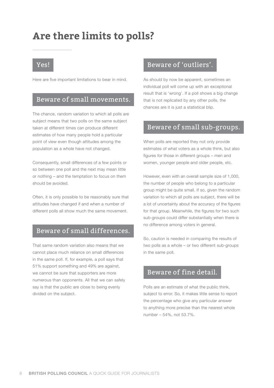## **Are there limits to polls?**

#### Yes!

Here are five important limitations to bear in mind.

#### Beware of small movements.

The chance, random variation to which all polls are subject means that two polls on the same subject taken at different times can produce different estimates of how many people hold a particular point of view even though attitudes among the population as a whole have not changed.

Consequently, small differences of a few points or so between one poll and the next may mean little or nothing – and the temptation to focus on them should be avoided.

Often, it is only possible to be reasonably sure that attitudes have changed if and when a number of different polls all show much the same movement.

#### Beware of small differences.

That same random variation also means that we cannot place much reliance on small differences in the same poll. If, for example, a poll says that 51% support something and 49% are against, we cannot be sure that supporters are more numerous than opponents. All that we can safely say is that the public are close to being evenly divided on the subject.

#### Beware of 'outliers'.

As should by now be apparent, sometimes an individual poll will come up with an exceptional result that is 'wrong'. If a poll shows a big change that is not replicated by any other polls, the chances are it is just a statistical blip.

#### Beware of small sub-groups.

When polls are reported they not only provide estimates of what voters as a whole think, but also figures for those in different groups – men and women, younger people and older people, etc.

However, even with an overall sample size of 1,000, the number of people who belong to a particular group might be quite small. If so, given the random variation to which all polls are subject, there will be a lot of uncertainty about the accuracy of the figures for that group. Meanwhile, the figures for two such sub-groups could differ substantially when there is no difference among voters in general.

So, caution is needed in comparing the results of two polls as a whole – or two different sub-groups in the same poll.

#### Beware of fine detail.

Polls are an estimate of what the public think, subject to error. So, it makes little sense to report the percentage who give any particular answer to anything more precise than the nearest whole number – 54%, not 53.7%.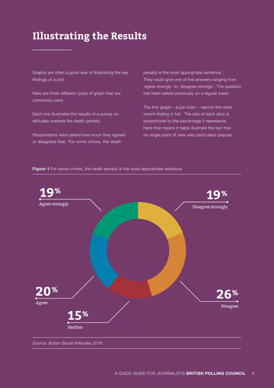## **Illustrating the Results**

Graphs are often a good way of illustrating the key findings of a poll.

Here are three different types of graph that are commonly used.

Each one illustrates the results of a survey on attitudes towards the death penalty.

Respondents were asked how much they agreed or disagreed that, 'For some crimes, the death

penalty is the most appropriate sentence'. They could give one of five answers ranging from 'agree strongly' to 'disagree strongly'. The question has been asked previously on a regular basis.

The first graph  $-$  a pie chart  $-$  reports the most recent finding in full. The size of each slice is proportional to the percentage it represents. Here that means it helps illustrate the fact that no single point of view was particularly popular.

**Figure 1** For some crimes, the death penalty is the most appropriate sentence

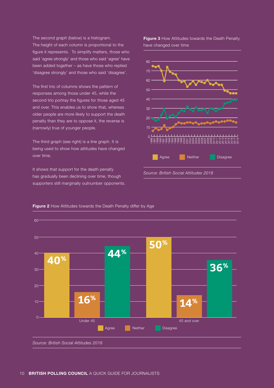The second graph (below) is a histogram. The height of each column is proportional to the figure it represents. To simplify matters, those who said 'agree strongly' and those who said 'agree' have been added together – as have those who replied 'disagree strongly' and those who said 'disagree'.

The first trio of columns shows the pattern of responses among those under 45, while the second trio portray the figures for those aged 45 and over. This enables us to show that, whereas older people are more likely to support the death penalty than they are to oppose it, the reverse is (narrowly) true of younger people.

The third graph (see right) is a line graph. It is being used to show how attitudes have changed over time.

It shows that support for the death penalty has gradually been declining over time, though supporters still marginally outnumber opponents. **Figure 3** How Attitudes towards the Death Penalty have changed over time



**Figure 2** How Attitudes towards the Death Penalty differ by Age

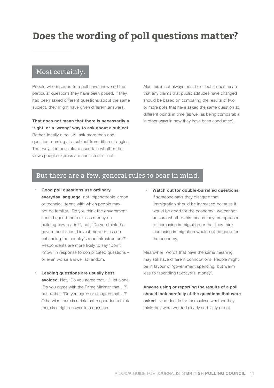## **Does the wording of poll questions matter?**

#### Most certainly.

People who respond to a poll have answered the particular questions they have been posed. If they had been asked different questions about the same subject, they might have given different answers.

**That does not mean that there is necessarily a 'right' or a 'wrong' way to ask about a subject.**  Rather, ideally a poll will ask more than one question, coming at a subject from different angles. That way, it is possible to ascertain whether the views people express are consistent or not.

Alas this is not always possible – but it does mean that any claims that public attitudes have changed should be based on comparing the results of two or more polls that have asked the same question at different points in time (as well as being comparable in other ways in how they have been conducted).

#### But there are a few, general rules to bear in mind.

- **• Good poll questions use ordinary, everyday language**, not impenetrable jargon or technical terms with which people may not be familiar. 'Do you think the government should spend more or less money on building new roads?', not, 'Do you think the government should invest more or less on enhancing the country's road infrastructure?'. Respondents are more likely to say 'Don't Know' in response to complicated questions – or even worse answer at random.
- **Leading questions are usually best avoided.** Not, 'Do you agree that….', let alone, 'Do you agree with the Prime Minister that…?', but, rather, 'Do you agree or disagree that…?' Otherwise there is a risk that respondents think there is a right answer to a question.
- **Watch out for double-barrelled questions.** If someone says they disagree that 'immigration should be increased because it would be good for the economy', we cannot be sure whether this means they are opposed to increasing immigration or that they think increasing immigration would not be good for the economy.

Meanwhile, words that have the same meaning may still have different connotations. People might be in favour of 'government spending' but warm less to 'spending taxpayers' money'.

**Anyone using or reporting the results of a poll should look carefully at the questions that were asked** – and decide for themselves whether they think they were worded clearly and fairly or not.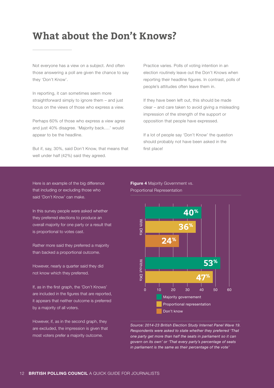## **What about the Don't Knows?**

Not everyone has a view on a subject. And often those answering a poll are given the chance to say they 'Don't Know'.

In reporting, it can sometimes seem more straightforward simply to ignore them – and just focus on the views of those who express a view.

Perhaps 60% of those who express a view agree and just 40% disagree. 'Majority back….' would appear to be the headline.

But if, say, 30%, said Don't Know, that means that well under half (42%) said they agreed.

Practice varies. Polls of voting intention in an election routinely leave out the Don't Knows when reporting their headline figures. In contrast, polls of people's attitudes often leave them in.

If they have been left out, this should be made clear – and care taken to avoid giving a misleading impression of the strength of the support or opposition that people have expressed.

If a lot of people say 'Don't Know' the question should probably not have been asked in the first place!

Here is an example of the big difference that including or excluding those who said 'Don't Know' can make.

In this survey people were asked whether they preferred elections to produce an overall majority for one party or a result that is proportional to votes cast.

Rather more said they preferred a majority than backed a proportional outcome.

However, nearly a quarter said they did not know which they preferred.

If, as in the first graph, the 'Don't Knows' are included in the figures that are reported, it appears that neither outcome is preferred by a majority of all voters.

However, if, as in the second graph, they are excluded, the impression is given that most voters prefer a majority outcome.

**Figure 4 Majority Government vs.** Proportional Representation



*Source: 2014-23 British Election Study Internet Panel Wave 19. Respondents were asked to state whether they preferred 'That one party get more than half the seats in parliament so it can govern on its own' or 'That every party's percentage of seats in parliament is the same as their percentage of the vote'*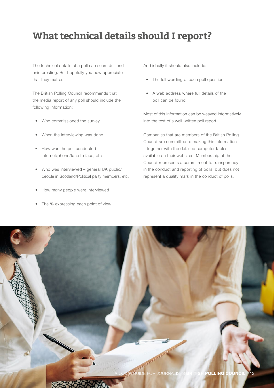## **What technical details should I report?**

The technical details of a poll can seem dull and uninteresting. But hopefully you now appreciate that they matter.

The British Polling Council recommends that the media report of any poll should include the following information:

- Who commissioned the survey
- When the interviewing was done
- How was the poll conducted internet/phone/face to face, etc
- Who was interviewed general UK public/ people in Scotland/Political party members, etc.
- How many people were interviewed
- The % expressing each point of view

And ideally it should also include:

- The full wording of each poll question
- A web address where full details of the poll can be found

Most of this information can be weaved informatively into the text of a well-written poll report.

Companies that are members of the British Polling Council are committed to making this information – together with the detailed computer tables – available on their websites. Membership of the Council represents a commitment to transparency in the conduct and reporting of polls, but does not represent a quality mark in the conduct of polls.

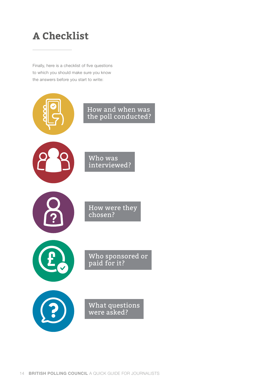## **A Checklist**

Finally, here is a checklist of five questions to which you should make sure you know the answers before you start to write:

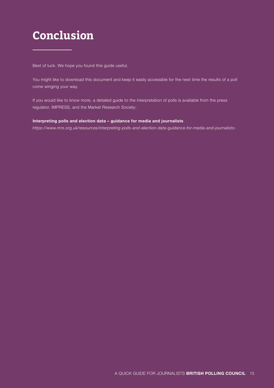## **Conclusion**

Best of luck. We hope you found this guide useful.

You might like to download this document and keep it easily accessible for the next time the results of a poll come winging your way.

If you would like to know more, a detailed guide to the interpretation of polls is available from the press regulator, IMPRESS, and the Market Research Society:

#### **[Interpreting polls and election data – guidance for media and journalists](https://www.mrs.org.uk/resources/interpreting-polls-and-election-data-guidance-for-media-and-journalists-)**

*https://www.mrs.org.uk/resources/interpreting-polls-and-election-data-guidance-for-media-and-journalists-*